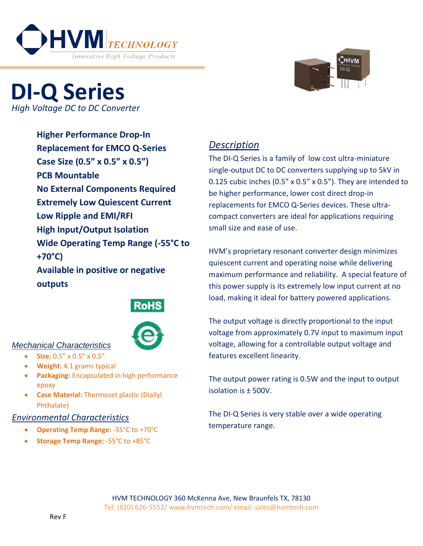



# **DI-Q Series** *High Voltage DC to DC Converter*

**Higher Performance Drop-In Replacement for EMCO Q-Series Case Size (0.5" x 0.5" x 0.5") PCB Mountable No External Components Required Extremely Low Quiescent Current Low Ripple and EMI/RFI High Input/Output Isolation Wide Operating Temp Range (-55°C to +70°C) Available in positive or negative outputs**





### *Mechanical Characteristics*

- **Size:** 0.5" x 0.5" x 0.5"
- **Weight:** 4.1 grams typical
- **Packaging:** Encapsulated in high performance epoxy
- **Case Material:** Thermoset plastic (Diallyl Phthalate)

### *Environmental Characteristics*

- **Operating Temp Range:** -55°C to +70°C
- **Storage Temp Range:** -55°C to +85°C

## *Description*

The DI-Q Series is a family of low cost ultra-miniature single-output DC to DC converters supplying up to 5kV in 0.125 cubic inches (0.5" x 0.5" x 0.5"). They are intended to be higher performance, lower cost direct drop-in replacements for EMCO Q-Series devices. These ultracompact converters are ideal for applications requiring small size and ease of use.

HVM's proprietary resonant converter design minimizes quiescent current and operating noise while delivering maximum performance and reliability. A special feature of this power supply is its extremely low input current at no load, making it ideal for battery powered applications.

The output voltage is directly proportional to the input voltage from approximately 0.7V input to maximum input voltage, allowing for a controllable output voltage and features excellent linearity.

The output power rating is 0.5W and the input to output isolation is ± 500V.

The DI-Q Series is very stable over a wide operating temperature range.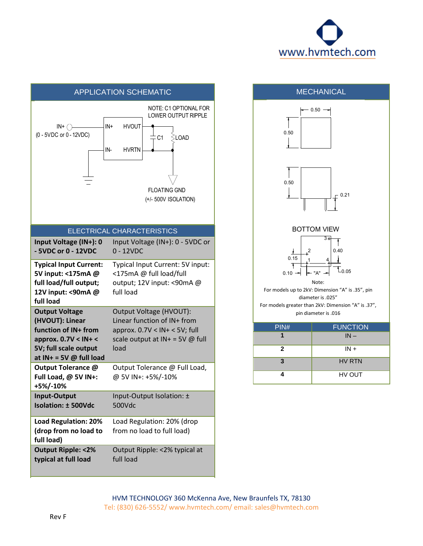

| <b>APPLICATION SCHEMATIC</b>                                                                                                                      |                                                                                                                                                         |
|---------------------------------------------------------------------------------------------------------------------------------------------------|---------------------------------------------------------------------------------------------------------------------------------------------------------|
| IN+<br>$IN + \subset$<br>(0 - 5VDC or 0 - 12VDC)<br>IN-                                                                                           | NOTE: C1 OPTIONAL FOR<br><b>LOWER OUTPUT RIPPLE</b><br><b>HVOUT</b><br>∕∑LOAD<br>C <sub>1</sub><br>hvrtn<br><b>FLOATING GND</b><br>(+/- 500V ISOLATION) |
| ELECTRICAL CHARACTERISTICS                                                                                                                        |                                                                                                                                                         |
| Input Voltage (IN+): 0<br>- 5VDC or 0 - 12VDC                                                                                                     | Input Voltage (IN+): 0 - 5VDC or<br>$0 - 12VDC$                                                                                                         |
| <b>Typical Input Current:</b><br>5V input: <175mA @<br>full load/full output;<br>12V input: <90mA @<br>full load                                  | Typical Input Current: 5V input:<br><175mA @ full load/full<br>output; 12V input: <90mA @<br>full load                                                  |
| <b>Output Voltage</b><br>(HVOUT): Linear<br>function of IN+ from<br>approx. $0.7V < IN + <$<br>5V; full scale output<br>at IN+ = 5V $@$ full load | Output Voltage (HVOUT):<br>Linear function of IN+ from<br>approx. $0.7V < IN + < 5V$ ; full<br>scale output at $IN + = 5V$ @ full<br>load               |
| <b>Output Tolerance @</b><br>Full Load, @ 5V IN+:<br>+5%/-10%                                                                                     | Output Tolerance @ Full Load,<br>@ 5V IN+: +5%/-10%                                                                                                     |
| Input-Output<br><b>Isolation: ± 500Vdc</b>                                                                                                        | Input-Output Isolation: ±<br>500Vdc                                                                                                                     |
| <b>Load Regulation: 20%</b><br>(drop from no load to<br>full load)                                                                                | Load Regulation: 20% (drop<br>from no load to full load)                                                                                                |
| <b>Output Ripple: &lt;2%</b><br>typical at full load                                                                                              | Output Ripple: <2% typical at<br>full load                                                                                                              |